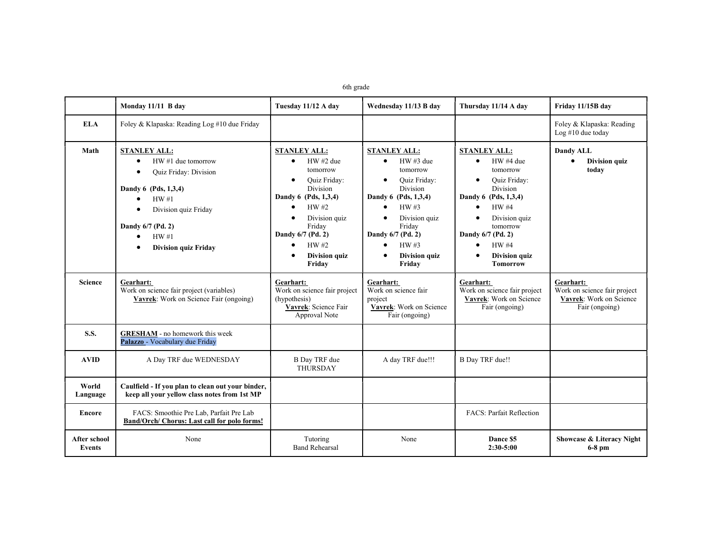|  | 6th orade |
|--|-----------|
|--|-----------|

|                                      | Monday 11/11 B day                                                                                                                                                                                                                                                   | Tuesday 11/12 A day                                                                                                                                                                                                                                       | Wednesday 11/13 B day                                                                                                                                                                                                                   | Thursday 11/14 A day                                                                                                                                                                                                                                                             | Friday 11/15B day                                                                      |
|--------------------------------------|----------------------------------------------------------------------------------------------------------------------------------------------------------------------------------------------------------------------------------------------------------------------|-----------------------------------------------------------------------------------------------------------------------------------------------------------------------------------------------------------------------------------------------------------|-----------------------------------------------------------------------------------------------------------------------------------------------------------------------------------------------------------------------------------------|----------------------------------------------------------------------------------------------------------------------------------------------------------------------------------------------------------------------------------------------------------------------------------|----------------------------------------------------------------------------------------|
| <b>ELA</b>                           | Foley & Klapaska: Reading Log #10 due Friday                                                                                                                                                                                                                         |                                                                                                                                                                                                                                                           |                                                                                                                                                                                                                                         |                                                                                                                                                                                                                                                                                  | Foley & Klapaska: Reading<br>Log $#10$ due today                                       |
| Math                                 | <b>STANLEY ALL:</b><br>HW #1 due tomorrow<br>$\bullet$<br>Quiz Friday: Division<br>$\bullet$<br>Dandy 6 (Pds, 1,3,4)<br>HW#1<br>$\bullet$<br>Division quiz Friday<br>$\bullet$<br>Dandy 6/7 (Pd. 2)<br>HW#1<br>$\bullet$<br><b>Division quiz Friday</b><br>$\bullet$ | <b>STANLEY ALL:</b><br>$HW#2$ due<br>$\bullet$<br>tomorrow<br><b>Ouiz Friday:</b><br>$\bullet$<br><b>Division</b><br>Dandy 6 (Pds, 1,3,4)<br>HW#2<br>$\bullet$<br>Division quiz<br>Friday<br>Dandy 6/7 (Pd. 2)<br>HW #2<br><b>Division quiz</b><br>Friday | <b>STANLEY ALL:</b><br>$HW \#3$ due<br>$\bullet$<br>tomorrow<br><b>Ouiz Friday:</b><br>$\bullet$<br><b>Division</b><br>Dandy 6 (Pds, 1,3,4)<br>HW#3<br>Division quiz<br>Friday<br>Dandy 6/7 (Pd. 2)<br>HW #3<br>Division quiz<br>Friday | <b>STANLEY ALL:</b><br>HW #4 due<br>$\bullet$<br>tomorrow<br><b>Ouiz Friday:</b><br>$\bullet$<br><b>Division</b><br>Dandy 6 (Pds, 1,3,4)<br><b>HW#4</b><br>Division quiz<br>$\bullet$<br>tomorrow<br>Dandy 6/7 (Pd. 2)<br><b>HW#4</b><br><b>Division quiz</b><br><b>Tomorrow</b> | Dandy ALL<br><b>Division quiz</b><br>$\bullet$<br>today                                |
| <b>Science</b>                       | Gearhart:<br>Work on science fair project (variables)<br>Vavrek: Work on Science Fair (ongoing)                                                                                                                                                                      | Gearhart:<br>Work on science fair project<br>(hypothesis)<br>Vavrek: Science Fair<br>Approval Note                                                                                                                                                        | Gearhart:<br>Work on science fair<br>project<br>Vavrek: Work on Science<br>Fair (ongoing)                                                                                                                                               | Gearhart:<br>Work on science fair project<br>Vavrek: Work on Science<br>Fair (ongoing)                                                                                                                                                                                           | Gearhart:<br>Work on science fair project<br>Vavrek: Work on Science<br>Fair (ongoing) |
| <b>S.S.</b>                          | <b>GRESHAM</b> - no homework this week<br>Palazzo - Vocabulary due Friday                                                                                                                                                                                            |                                                                                                                                                                                                                                                           |                                                                                                                                                                                                                                         |                                                                                                                                                                                                                                                                                  |                                                                                        |
| <b>AVID</b>                          | A Day TRF due WEDNESDAY                                                                                                                                                                                                                                              | <b>B</b> Day TRF due<br>THURSDAY                                                                                                                                                                                                                          | A day TRF due!!!                                                                                                                                                                                                                        | <b>B</b> Day TRF due!!                                                                                                                                                                                                                                                           |                                                                                        |
| World<br>Language                    | Caulfield - If you plan to clean out your binder,<br>keep all your yellow class notes from 1st MP                                                                                                                                                                    |                                                                                                                                                                                                                                                           |                                                                                                                                                                                                                                         |                                                                                                                                                                                                                                                                                  |                                                                                        |
| <b>Encore</b>                        | FACS: Smoothie Pre Lab, Parfait Pre Lab<br>Band/Orch/ Chorus: Last call for polo forms!                                                                                                                                                                              |                                                                                                                                                                                                                                                           |                                                                                                                                                                                                                                         | <b>FACS: Parfait Reflection</b>                                                                                                                                                                                                                                                  |                                                                                        |
| <b>After school</b><br><b>Events</b> | None                                                                                                                                                                                                                                                                 | Tutoring<br><b>Band Rehearsal</b>                                                                                                                                                                                                                         | None                                                                                                                                                                                                                                    | Dance \$5<br>$2:30-5:00$                                                                                                                                                                                                                                                         | Showcase & Literacy Night<br>$6-8$ pm                                                  |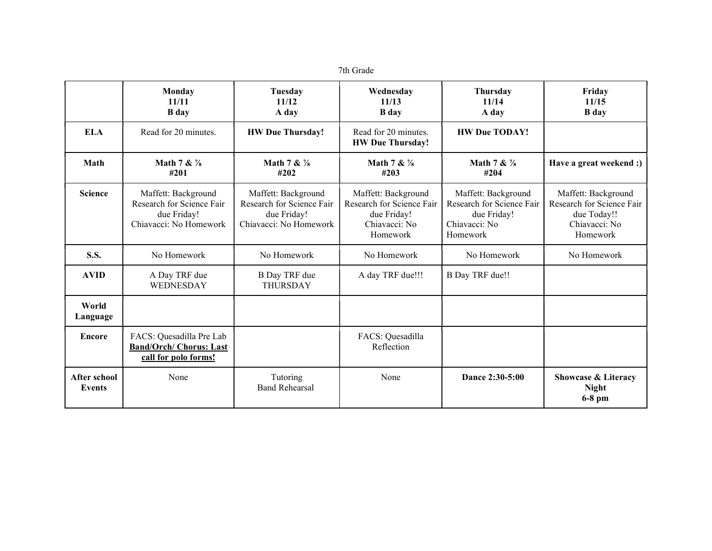| th Cirade |
|-----------|
|-----------|

|                               | <b>Monday</b><br>11/11<br><b>B</b> day                                                    | Tuesday<br>11/12<br>A day                                                                 | Wednesday<br>11/13<br><b>B</b> day                                                           | <b>Thursday</b><br>11/14<br>A day                                                            | Friday<br>11/15<br><b>B</b> day                                                              |
|-------------------------------|-------------------------------------------------------------------------------------------|-------------------------------------------------------------------------------------------|----------------------------------------------------------------------------------------------|----------------------------------------------------------------------------------------------|----------------------------------------------------------------------------------------------|
| <b>ELA</b>                    | Read for 20 minutes.                                                                      | <b>HW Due Thursday!</b>                                                                   | Read for 20 minutes.<br><b>HW Due Thursday!</b>                                              | <b>HW Due TODAY!</b>                                                                         |                                                                                              |
| Math                          | Math 7 & $\frac{7}{8}$<br>#201                                                            | Math 7 & $\frac{7}{8}$<br>#202                                                            | Math 7 & $\frac{7}{8}$<br>#203                                                               | Math 7 & $\frac{7}{8}$<br>#204                                                               | Have a great weekend :)                                                                      |
| <b>Science</b>                | Maffett: Background<br>Research for Science Fair<br>due Friday!<br>Chiavacci: No Homework | Maffett: Background<br>Research for Science Fair<br>due Friday!<br>Chiavacci: No Homework | Maffett: Background<br>Research for Science Fair<br>due Friday!<br>Chiavacci: No<br>Homework | Maffett: Background<br>Research for Science Fair<br>due Friday!<br>Chiavacci: No<br>Homework | Maffett: Background<br>Research for Science Fair<br>due Today!!<br>Chiavacci: No<br>Homework |
| <b>S.S.</b>                   | No Homework                                                                               | No Homework                                                                               | No Homework                                                                                  | No Homework                                                                                  | No Homework                                                                                  |
| <b>AVID</b>                   | A Day TRF due<br>WEDNESDAY                                                                | <b>B</b> Day TRF due<br><b>THURSDAY</b>                                                   | A day TRF due!!!                                                                             | <b>B</b> Day TRF due!!                                                                       |                                                                                              |
| World<br>Language             |                                                                                           |                                                                                           |                                                                                              |                                                                                              |                                                                                              |
| <b>Encore</b>                 | FACS: Quesadilla Pre Lab<br><b>Band/Orch/ Chorus: Last</b><br>call for polo forms!        |                                                                                           | FACS: Quesadilla<br>Reflection                                                               |                                                                                              |                                                                                              |
| <b>After school</b><br>Events | None                                                                                      | Tutoring<br><b>Band Rehearsal</b>                                                         | None                                                                                         | Dance 2:30-5:00                                                                              | <b>Showcase &amp; Literacy</b><br><b>Night</b><br>$6-8$ pm                                   |